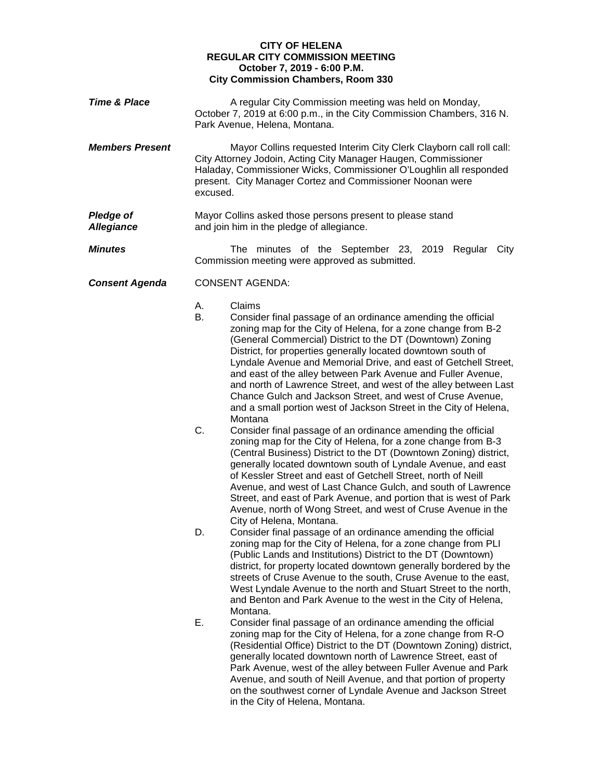## **CITY OF HELENA REGULAR CITY COMMISSION MEETING October 7, 2019 - 6:00 P.M. City Commission Chambers, Room 330**

**Time & Place A** regular City Commission meeting was held on Monday, October 7, 2019 at 6:00 p.m., in the City Commission Chambers, 316 N. Park Avenue, Helena, Montana. *Members Present* Mayor Collins requested Interim City Clerk Clayborn call roll call: City Attorney Jodoin, Acting City Manager Haugen, Commissioner Haladay, Commissioner Wicks, Commissioner O'Loughlin all responded present. City Manager Cortez and Commissioner Noonan were excused. **Pledge of** Mayor Collins asked those persons present to please stand **Allegiance** and join him in the pledge of allegiance. and join him in the pledge of allegiance. **Minutes** The minutes of the September 23, 2019 Regular City Commission meeting were approved as submitted. *Consent Agenda* CONSENT AGENDA: A. Claims B. Consider final passage of an ordinance amending the official zoning map for the City of Helena, for a zone change from B-2 (General Commercial) District to the DT (Downtown) Zoning District, for properties generally located downtown south of Lyndale Avenue and Memorial Drive, and east of Getchell Street, and east of the alley between Park Avenue and Fuller Avenue, and north of Lawrence Street, and west of the alley between Last Chance Gulch and Jackson Street, and west of Cruse Avenue, and a small portion west of Jackson Street in the City of Helena, **Montana** C. Consider final passage of an ordinance amending the official zoning map for the City of Helena, for a zone change from B-3 (Central Business) District to the DT (Downtown Zoning) district, generally located downtown south of Lyndale Avenue, and east of Kessler Street and east of Getchell Street, north of Neill Avenue, and west of Last Chance Gulch, and south of Lawrence Street, and east of Park Avenue, and portion that is west of Park Avenue, north of Wong Street, and west of Cruse Avenue in the City of Helena, Montana. D. Consider final passage of an ordinance amending the official zoning map for the City of Helena, for a zone change from PLI (Public Lands and Institutions) District to the DT (Downtown) district, for property located downtown generally bordered by the streets of Cruse Avenue to the south, Cruse Avenue to the east, West Lyndale Avenue to the north and Stuart Street to the north, and Benton and Park Avenue to the west in the City of Helena, Montana. E. Consider final passage of an ordinance amending the official zoning map for the City of Helena, for a zone change from R-O (Residential Office) District to the DT (Downtown Zoning) district, generally located downtown north of Lawrence Street, east of Park Avenue, west of the alley between Fuller Avenue and Park Avenue, and south of Neill Avenue, and that portion of property on the southwest corner of Lyndale Avenue and Jackson Street in the City of Helena, Montana.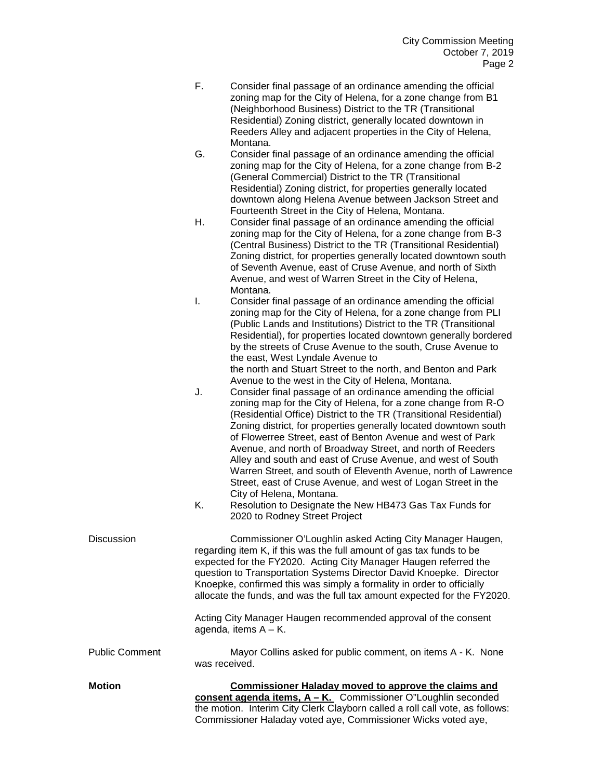- F. Consider final passage of an ordinance amending the official zoning map for the City of Helena, for a zone change from B1 (Neighborhood Business) District to the TR (Transitional Residential) Zoning district, generally located downtown in Reeders Alley and adjacent properties in the City of Helena, Montana.
- G. Consider final passage of an ordinance amending the official zoning map for the City of Helena, for a zone change from B-2 (General Commercial) District to the TR (Transitional Residential) Zoning district, for properties generally located downtown along Helena Avenue between Jackson Street and Fourteenth Street in the City of Helena, Montana.
- H. Consider final passage of an ordinance amending the official zoning map for the City of Helena, for a zone change from B-3 (Central Business) District to the TR (Transitional Residential) Zoning district, for properties generally located downtown south of Seventh Avenue, east of Cruse Avenue, and north of Sixth Avenue, and west of Warren Street in the City of Helena, Montana.
- I. Consider final passage of an ordinance amending the official zoning map for the City of Helena, for a zone change from PLI (Public Lands and Institutions) District to the TR (Transitional Residential), for properties located downtown generally bordered by the streets of Cruse Avenue to the south, Cruse Avenue to the east, West Lyndale Avenue to

the north and Stuart Street to the north, and Benton and Park Avenue to the west in the City of Helena, Montana.

- J. Consider final passage of an ordinance amending the official zoning map for the City of Helena, for a zone change from R-O (Residential Office) District to the TR (Transitional Residential) Zoning district, for properties generally located downtown south of Flowerree Street, east of Benton Avenue and west of Park Avenue, and north of Broadway Street, and north of Reeders Alley and south and east of Cruse Avenue, and west of South Warren Street, and south of Eleventh Avenue, north of Lawrence Street, east of Cruse Avenue, and west of Logan Street in the City of Helena, Montana.
- K. Resolution to Designate the New HB473 Gas Tax Funds for 2020 to Rodney Street Project

| <b>Discussion</b>     | Commissioner O'Loughlin asked Acting City Manager Haugen,<br>regarding item K, if this was the full amount of gas tax funds to be<br>expected for the FY2020. Acting City Manager Haugen referred the<br>question to Transportation Systems Director David Knoepke. Director<br>Knoepke, confirmed this was simply a formality in order to officially<br>allocate the funds, and was the full tax amount expected for the FY2020.<br>Acting City Manager Haugen recommended approval of the consent<br>agenda, items $A - K$ . |
|-----------------------|--------------------------------------------------------------------------------------------------------------------------------------------------------------------------------------------------------------------------------------------------------------------------------------------------------------------------------------------------------------------------------------------------------------------------------------------------------------------------------------------------------------------------------|
| <b>Public Comment</b> | Mayor Collins asked for public comment, on items A - K. None<br>was received.                                                                                                                                                                                                                                                                                                                                                                                                                                                  |
| <b>Motion</b>         | Commissioner Haladay moved to approve the claims and<br>consent agenda items, $A - K$ . Commissioner O"Loughlin seconded<br>the metion Interim City Clark Clayborn colled a rell soll ustal go follows:                                                                                                                                                                                                                                                                                                                        |

the motion. Interim City Clerk Clayborn called a roll call vote, as follows: Commissioner Haladay voted aye, Commissioner Wicks voted aye,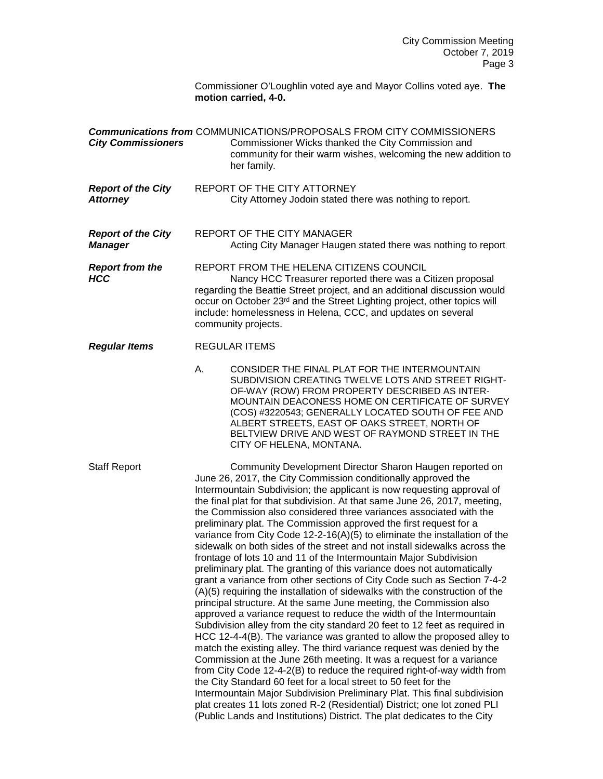Commissioner O'Loughlin voted aye and Mayor Collins voted aye. **The motion carried, 4-0.**

| <b>City Commissioners</b>                    | <b>Communications from COMMUNICATIONS/PROPOSALS FROM CITY COMMISSIONERS</b><br>Commissioner Wicks thanked the City Commission and<br>community for their warm wishes, welcoming the new addition to<br>her family.                                                                                                                                                                                                                                                                                                                                                                                                                                                                                                                                                                                                                                                                                                                                                                                                                                                                                                                                                                                                                                                                                                                                                                                                                                                                                                                                                                                                                                                                                                                        |
|----------------------------------------------|-------------------------------------------------------------------------------------------------------------------------------------------------------------------------------------------------------------------------------------------------------------------------------------------------------------------------------------------------------------------------------------------------------------------------------------------------------------------------------------------------------------------------------------------------------------------------------------------------------------------------------------------------------------------------------------------------------------------------------------------------------------------------------------------------------------------------------------------------------------------------------------------------------------------------------------------------------------------------------------------------------------------------------------------------------------------------------------------------------------------------------------------------------------------------------------------------------------------------------------------------------------------------------------------------------------------------------------------------------------------------------------------------------------------------------------------------------------------------------------------------------------------------------------------------------------------------------------------------------------------------------------------------------------------------------------------------------------------------------------------|
| <b>Report of the City</b><br><b>Attorney</b> | REPORT OF THE CITY ATTORNEY<br>City Attorney Jodoin stated there was nothing to report.                                                                                                                                                                                                                                                                                                                                                                                                                                                                                                                                                                                                                                                                                                                                                                                                                                                                                                                                                                                                                                                                                                                                                                                                                                                                                                                                                                                                                                                                                                                                                                                                                                                   |
| <b>Report of the City</b><br><b>Manager</b>  | REPORT OF THE CITY MANAGER<br>Acting City Manager Haugen stated there was nothing to report                                                                                                                                                                                                                                                                                                                                                                                                                                                                                                                                                                                                                                                                                                                                                                                                                                                                                                                                                                                                                                                                                                                                                                                                                                                                                                                                                                                                                                                                                                                                                                                                                                               |
| <b>Report from the</b><br><b>HCC</b>         | REPORT FROM THE HELENA CITIZENS COUNCIL<br>Nancy HCC Treasurer reported there was a Citizen proposal<br>regarding the Beattie Street project, and an additional discussion would<br>occur on October 23rd and the Street Lighting project, other topics will<br>include: homelessness in Helena, CCC, and updates on several<br>community projects.                                                                                                                                                                                                                                                                                                                                                                                                                                                                                                                                                                                                                                                                                                                                                                                                                                                                                                                                                                                                                                                                                                                                                                                                                                                                                                                                                                                       |
| <b>Regular Items</b>                         | <b>REGULAR ITEMS</b>                                                                                                                                                                                                                                                                                                                                                                                                                                                                                                                                                                                                                                                                                                                                                                                                                                                                                                                                                                                                                                                                                                                                                                                                                                                                                                                                                                                                                                                                                                                                                                                                                                                                                                                      |
|                                              | A.<br>CONSIDER THE FINAL PLAT FOR THE INTERMOUNTAIN<br>SUBDIVISION CREATING TWELVE LOTS AND STREET RIGHT-<br>OF-WAY (ROW) FROM PROPERTY DESCRIBED AS INTER-<br>MOUNTAIN DEACONESS HOME ON CERTIFICATE OF SURVEY<br>(COS) #3220543; GENERALLY LOCATED SOUTH OF FEE AND<br>ALBERT STREETS, EAST OF OAKS STREET, NORTH OF<br>BELTVIEW DRIVE AND WEST OF RAYMOND STREET IN THE<br>CITY OF HELENA, MONTANA.                                                                                                                                                                                                                                                                                                                                                                                                                                                                                                                                                                                                                                                                                                                                                                                                                                                                                                                                                                                                                                                                                                                                                                                                                                                                                                                                    |
| <b>Staff Report</b>                          | Community Development Director Sharon Haugen reported on<br>June 26, 2017, the City Commission conditionally approved the<br>Intermountain Subdivision; the applicant is now requesting approval of<br>the final plat for that subdivision. At that same June 26, 2017, meeting,<br>the Commission also considered three variances associated with the<br>preliminary plat. The Commission approved the first request for a<br>variance from City Code 12-2-16(A)(5) to eliminate the installation of the<br>sidewalk on both sides of the street and not install sidewalks across the<br>frontage of lots 10 and 11 of the Intermountain Major Subdivision<br>preliminary plat. The granting of this variance does not automatically<br>grant a variance from other sections of City Code such as Section 7-4-2<br>(A)(5) requiring the installation of sidewalks with the construction of the<br>principal structure. At the same June meeting, the Commission also<br>approved a variance request to reduce the width of the Intermountain<br>Subdivision alley from the city standard 20 feet to 12 feet as required in<br>HCC 12-4-4(B). The variance was granted to allow the proposed alley to<br>match the existing alley. The third variance request was denied by the<br>Commission at the June 26th meeting. It was a request for a variance<br>from City Code 12-4-2(B) to reduce the required right-of-way width from<br>the City Standard 60 feet for a local street to 50 feet for the<br>Intermountain Major Subdivision Preliminary Plat. This final subdivision<br>plat creates 11 lots zoned R-2 (Residential) District; one lot zoned PLI<br>(Public Lands and Institutions) District. The plat dedicates to the City |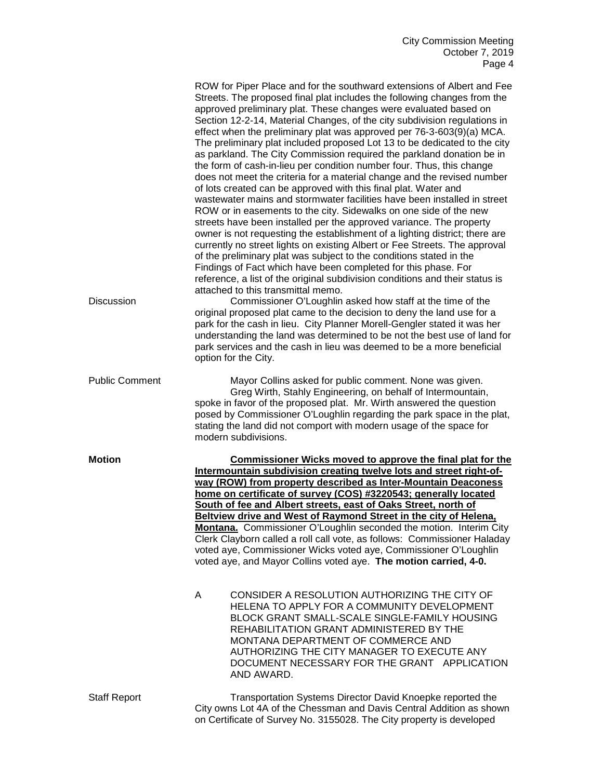| <b>Discussion</b>     | ROW for Piper Place and for the southward extensions of Albert and Fee<br>Streets. The proposed final plat includes the following changes from the<br>approved preliminary plat. These changes were evaluated based on<br>Section 12-2-14, Material Changes, of the city subdivision regulations in<br>effect when the preliminary plat was approved per 76-3-603(9)(a) MCA.<br>The preliminary plat included proposed Lot 13 to be dedicated to the city<br>as parkland. The City Commission required the parkland donation be in<br>the form of cash-in-lieu per condition number four. Thus, this change<br>does not meet the criteria for a material change and the revised number<br>of lots created can be approved with this final plat. Water and<br>wastewater mains and stormwater facilities have been installed in street<br>ROW or in easements to the city. Sidewalks on one side of the new<br>streets have been installed per the approved variance. The property<br>owner is not requesting the establishment of a lighting district; there are<br>currently no street lights on existing Albert or Fee Streets. The approval<br>of the preliminary plat was subject to the conditions stated in the<br>Findings of Fact which have been completed for this phase. For<br>reference, a list of the original subdivision conditions and their status is<br>attached to this transmittal memo.<br>Commissioner O'Loughlin asked how staff at the time of the<br>original proposed plat came to the decision to deny the land use for a |
|-----------------------|-------------------------------------------------------------------------------------------------------------------------------------------------------------------------------------------------------------------------------------------------------------------------------------------------------------------------------------------------------------------------------------------------------------------------------------------------------------------------------------------------------------------------------------------------------------------------------------------------------------------------------------------------------------------------------------------------------------------------------------------------------------------------------------------------------------------------------------------------------------------------------------------------------------------------------------------------------------------------------------------------------------------------------------------------------------------------------------------------------------------------------------------------------------------------------------------------------------------------------------------------------------------------------------------------------------------------------------------------------------------------------------------------------------------------------------------------------------------------------------------------------------------------------------------------------|
|                       | park for the cash in lieu. City Planner Morell-Gengler stated it was her<br>understanding the land was determined to be not the best use of land for<br>park services and the cash in lieu was deemed to be a more beneficial<br>option for the City.                                                                                                                                                                                                                                                                                                                                                                                                                                                                                                                                                                                                                                                                                                                                                                                                                                                                                                                                                                                                                                                                                                                                                                                                                                                                                                 |
| <b>Public Comment</b> | Mayor Collins asked for public comment. None was given.<br>Greg Wirth, Stahly Engineering, on behalf of Intermountain,<br>spoke in favor of the proposed plat. Mr. Wirth answered the question<br>posed by Commissioner O'Loughlin regarding the park space in the plat,<br>stating the land did not comport with modern usage of the space for<br>modern subdivisions.                                                                                                                                                                                                                                                                                                                                                                                                                                                                                                                                                                                                                                                                                                                                                                                                                                                                                                                                                                                                                                                                                                                                                                               |
| <b>Motion</b>         | Commissioner Wicks moved to approve the final plat for the<br>Intermountain subdivision creating twelve lots and street right-of-<br>way (ROW) from property described as Inter-Mountain Deaconess<br>home on certificate of survey (COS) #3220543; generally located<br>South of fee and Albert streets, east of Oaks Street, north of<br>Beltview drive and West of Raymond Street in the city of Helena,<br>Montana. Commissioner O'Loughlin seconded the motion. Interim City<br>Clerk Clayborn called a roll call vote, as follows: Commissioner Haladay<br>voted aye, Commissioner Wicks voted aye, Commissioner O'Loughlin<br>voted aye, and Mayor Collins voted aye. The motion carried, 4-0.                                                                                                                                                                                                                                                                                                                                                                                                                                                                                                                                                                                                                                                                                                                                                                                                                                                 |
|                       | CONSIDER A RESOLUTION AUTHORIZING THE CITY OF<br>A<br>HELENA TO APPLY FOR A COMMUNITY DEVELOPMENT<br>BLOCK GRANT SMALL-SCALE SINGLE-FAMILY HOUSING<br>REHABILITATION GRANT ADMINISTERED BY THE<br>MONTANA DEPARTMENT OF COMMERCE AND<br>AUTHORIZING THE CITY MANAGER TO EXECUTE ANY<br>DOCUMENT NECESSARY FOR THE GRANT APPLICATION<br>AND AWARD.                                                                                                                                                                                                                                                                                                                                                                                                                                                                                                                                                                                                                                                                                                                                                                                                                                                                                                                                                                                                                                                                                                                                                                                                     |
| <b>Staff Report</b>   | Transportation Systems Director David Knoepke reported the<br>City owns Lot 4A of the Chessman and Davis Central Addition as shown<br>on Certificate of Survey No. 3155028. The City property is developed                                                                                                                                                                                                                                                                                                                                                                                                                                                                                                                                                                                                                                                                                                                                                                                                                                                                                                                                                                                                                                                                                                                                                                                                                                                                                                                                            |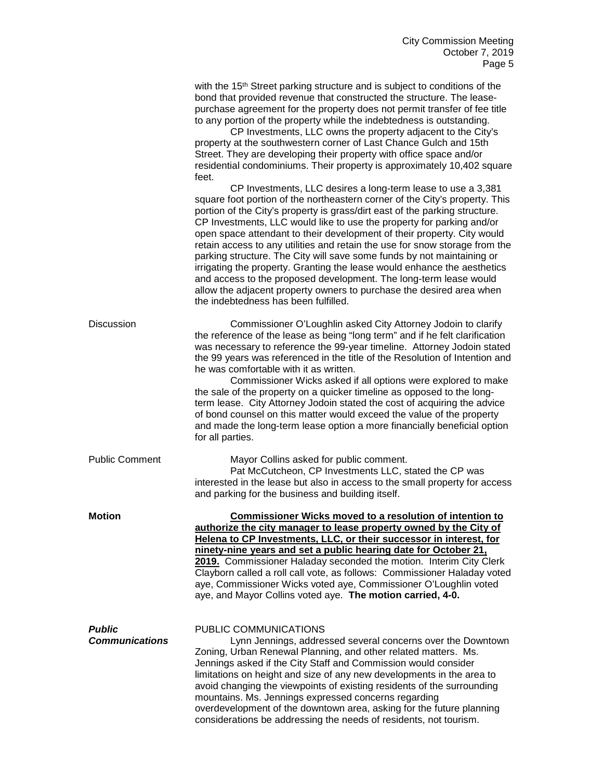|                                        | with the 15 <sup>th</sup> Street parking structure and is subject to conditions of the<br>bond that provided revenue that constructed the structure. The lease-<br>purchase agreement for the property does not permit transfer of fee title<br>to any portion of the property while the indebtedness is outstanding.<br>CP Investments, LLC owns the property adjacent to the City's<br>property at the southwestern corner of Last Chance Gulch and 15th<br>Street. They are developing their property with office space and/or<br>residential condominiums. Their property is approximately 10,402 square<br>feet.<br>CP Investments, LLC desires a long-term lease to use a 3,381<br>square foot portion of the northeastern corner of the City's property. This<br>portion of the City's property is grass/dirt east of the parking structure.<br>CP Investments, LLC would like to use the property for parking and/or<br>open space attendant to their development of their property. City would<br>retain access to any utilities and retain the use for snow storage from the<br>parking structure. The City will save some funds by not maintaining or<br>irrigating the property. Granting the lease would enhance the aesthetics<br>and access to the proposed development. The long-term lease would |
|----------------------------------------|-------------------------------------------------------------------------------------------------------------------------------------------------------------------------------------------------------------------------------------------------------------------------------------------------------------------------------------------------------------------------------------------------------------------------------------------------------------------------------------------------------------------------------------------------------------------------------------------------------------------------------------------------------------------------------------------------------------------------------------------------------------------------------------------------------------------------------------------------------------------------------------------------------------------------------------------------------------------------------------------------------------------------------------------------------------------------------------------------------------------------------------------------------------------------------------------------------------------------------------------------------------------------------------------------------------------|
|                                        | allow the adjacent property owners to purchase the desired area when<br>the indebtedness has been fulfilled.                                                                                                                                                                                                                                                                                                                                                                                                                                                                                                                                                                                                                                                                                                                                                                                                                                                                                                                                                                                                                                                                                                                                                                                                      |
| <b>Discussion</b>                      | Commissioner O'Loughlin asked City Attorney Jodoin to clarify<br>the reference of the lease as being "long term" and if he felt clarification<br>was necessary to reference the 99-year timeline. Attorney Jodoin stated<br>the 99 years was referenced in the title of the Resolution of Intention and<br>he was comfortable with it as written.<br>Commissioner Wicks asked if all options were explored to make<br>the sale of the property on a quicker timeline as opposed to the long-<br>term lease. City Attorney Jodoin stated the cost of acquiring the advice<br>of bond counsel on this matter would exceed the value of the property<br>and made the long-term lease option a more financially beneficial option<br>for all parties.                                                                                                                                                                                                                                                                                                                                                                                                                                                                                                                                                                 |
| <b>Public Comment</b>                  | Mayor Collins asked for public comment.<br>Pat McCutcheon, CP Investments LLC, stated the CP was<br>interested in the lease but also in access to the small property for access<br>and parking for the business and building itself.                                                                                                                                                                                                                                                                                                                                                                                                                                                                                                                                                                                                                                                                                                                                                                                                                                                                                                                                                                                                                                                                              |
| <b>Motion</b>                          | <b>Commissioner Wicks moved to a resolution of intention to</b><br>authorize the city manager to lease property owned by the City of<br>Helena to CP Investments, LLC, or their successor in interest, for<br>ninety-nine years and set a public hearing date for October 21,<br>2019. Commissioner Haladay seconded the motion. Interim City Clerk<br>Clayborn called a roll call vote, as follows: Commissioner Haladay voted<br>aye, Commissioner Wicks voted aye, Commissioner O'Loughlin voted<br>aye, and Mayor Collins voted aye. The motion carried, 4-0.                                                                                                                                                                                                                                                                                                                                                                                                                                                                                                                                                                                                                                                                                                                                                 |
| <b>Public</b><br><b>Communications</b> | PUBLIC COMMUNICATIONS<br>Lynn Jennings, addressed several concerns over the Downtown<br>Zoning, Urban Renewal Planning, and other related matters. Ms.<br>Jennings asked if the City Staff and Commission would consider<br>limitations on height and size of any new developments in the area to<br>avoid changing the viewpoints of existing residents of the surrounding<br>mountains. Ms. Jennings expressed concerns regarding<br>overdevelopment of the downtown area, asking for the future planning<br>considerations be addressing the needs of residents, not tourism.                                                                                                                                                                                                                                                                                                                                                                                                                                                                                                                                                                                                                                                                                                                                  |